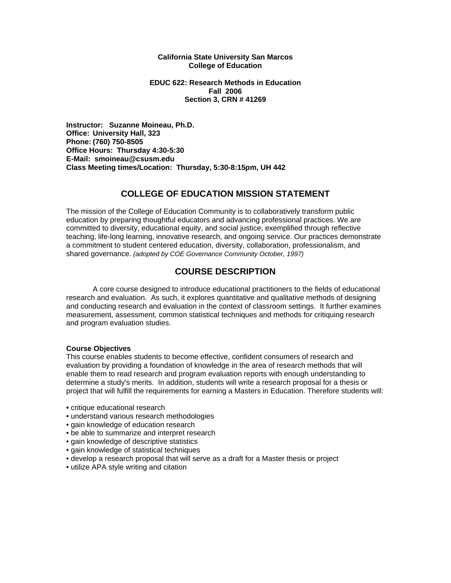#### **California State University San Marcos College of Education**

### **EDUC 622: Research Methods in Education Fall 2006 Section 3, CRN # 41269**

**Instructor: Suzanne Moineau, Ph.D. Office: University Hall, 323 Phone: (760) 750-8505 Office Hours: Thursday 4:30-5:30 E-Mail: smoineau@csusm.edu Class Meeting times/Location: Thursday, 5:30-8:15pm, UH 442** 

# **COLLEGE OF EDUCATION MISSION STATEMENT**

The mission of the College of Education Community is to collaboratively transform public education by preparing thoughtful educators and advancing professional practices. We are committed to diversity, educational equity, and social justice, exemplified through reflective teaching, life-long learning, innovative research, and ongoing service. Our practices demonstrate a commitment to student centered education, diversity, collaboration, professionalism, and shared governance. *(adopted by COE Governance Community October, 1997)* 

# **COURSE DESCRIPTION**

 A core course designed to introduce educational practitioners to the fields of educational research and evaluation. As such, it explores quantitative and qualitative methods of designing and conducting research and evaluation in the context of classroom settings. It further examines measurement, assessment, common statistical techniques and methods for critiquing research and program evaluation studies.

## **Course Objectives**

This course enables students to become effective, confident consumers of research and evaluation by providing a foundation of knowledge in the area of research methods that will enable them to read research and program evaluation reports with enough understanding to determine a study's merits. In addition, students will write a research proposal for a thesis or project that will fulfill the requirements for earning a Masters in Education. Therefore students will:

- critique educational research
- understand various research methodologies
- gain knowledge of education research
- be able to summarize and interpret research
- gain knowledge of descriptive statistics
- gain knowledge of statistical techniques
- develop a research proposal that will serve as a draft for a Master thesis or project
- utilize APA style writing and citation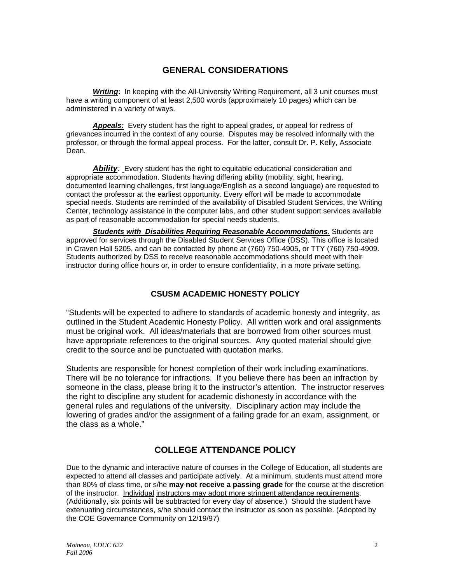# **GENERAL CONSIDERATIONS**

**Writing:** In keeping with the All-University Writing Requirement, all 3 unit courses must have a writing component of at least 2,500 words (approximately 10 pages) which can be administered in a variety of ways.

*Appeals:* Every student has the right to appeal grades, or appeal for redress of grievances incurred in the context of any course. Disputes may be resolved informally with the professor, or through the formal appeal process. For the latter, consult Dr. P. Kelly, Associate Dean.

**Ability**: Every student has the right to equitable educational consideration and appropriate accommodation. Students having differing ability (mobility, sight, hearing, documented learning challenges, first language/English as a second language) are requested to contact the professor at the earliest opportunity. Every effort will be made to accommodate special needs. Students are reminded of the availability of Disabled Student Services, the Writing Center, technology assistance in the computer labs, and other student support services available as part of reasonable accommodation for special needs students.

*Students with Disabilities Requiring Reasonable Accommodations.* Students are approved for services through the Disabled Student Services Office (DSS). This office is located in Craven Hall 5205, and can be contacted by phone at (760) 750-4905, or TTY (760) 750-4909. Students authorized by DSS to receive reasonable accommodations should meet with their instructor during office hours or, in order to ensure confidentiality, in a more private setting.

# **CSUSM ACADEMIC HONESTY POLICY**

"Students will be expected to adhere to standards of academic honesty and integrity, as outlined in the Student Academic Honesty Policy. All written work and oral assignments must be original work. All ideas/materials that are borrowed from other sources must have appropriate references to the original sources. Any quoted material should give credit to the source and be punctuated with quotation marks.

Students are responsible for honest completion of their work including examinations. There will be no tolerance for infractions. If you believe there has been an infraction by someone in the class, please bring it to the instructor's attention. The instructor reserves the right to discipline any student for academic dishonesty in accordance with the general rules and regulations of the university. Disciplinary action may include the lowering of grades and/or the assignment of a failing grade for an exam, assignment, or the class as a whole."

# **COLLEGE ATTENDANCE POLICY**

Due to the dynamic and interactive nature of courses in the College of Education, all students are expected to attend all classes and participate actively. At a minimum, students must attend more than 80% of class time, or s/he **may not receive a passing grade** for the course at the discretion of the instructor. Individual instructors may adopt more stringent attendance requirements. (Additionally, six points will be subtracted for every day of absence.) Should the student have extenuating circumstances, s/he should contact the instructor as soon as possible. (Adopted by the COE Governance Community on 12/19/97)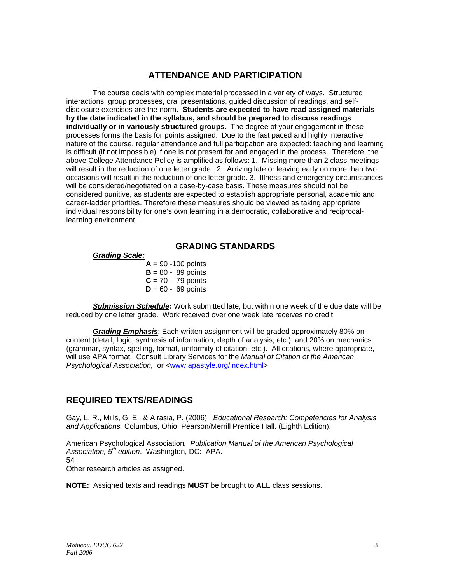# **ATTENDANCE AND PARTICIPATION**

The course deals with complex material processed in a variety of ways. Structured interactions, group processes, oral presentations, guided discussion of readings, and selfdisclosure exercises are the norm. **Students are expected to have read assigned materials by the date indicated in the syllabus, and should be prepared to discuss readings individually or in variously structured groups.** The degree of your engagement in these processes forms the basis for points assigned. Due to the fast paced and highly interactive nature of the course, regular attendance and full participation are expected: teaching and learning is difficult (if not impossible) if one is not present for and engaged in the process. Therefore, the above College Attendance Policy is amplified as follows: 1. Missing more than 2 class meetings will result in the reduction of one letter grade. 2. Arriving late or leaving early on more than two occasions will result in the reduction of one letter grade. 3. Illness and emergency circumstances will be considered/negotiated on a case-by-case basis. These measures should not be considered punitive, as students are expected to establish appropriate personal, academic and career-ladder priorities. Therefore these measures should be viewed as taking appropriate individual responsibility for one's own learning in a democratic, collaborative and reciprocallearning environment.

# **GRADING STANDARDS**

### *Grading Scale:*

 $A = 90 - 100$  points  $B = 80 - 89$  points  $C = 70 - 79$  points  $D = 60 - 69$  points

*Submission Schedule:* Work submitted late, but within one week of the due date will be reduced by one letter grade. Work received over one week late receives no credit.

*Grading Emphasis*: Each written assignment will be graded approximately 80% on content (detail, logic, synthesis of information, depth of analysis, etc.), and 20% on mechanics (grammar, syntax, spelling, format, uniformity of citation, etc.). All citations, where appropriate, will use APA format. Consult Library Services for the *Manual of Citation of the American Psychological Association,* or <www.apastyle.org/index.html>

# **REQUIRED TEXTS/READINGS**

Gay, L. R., Mills, G. E., & Airasia, P. (2006). *Educational Research: Competencies for Analysis and Applications.* Columbus, Ohio: Pearson/Merrill Prentice Hall. (Eighth Edition).

American Psychological Association*. Publication Manual of the American Psychological Association, 5th edition*. Washington, DC: APA. 54 Other research articles as assigned.

**NOTE:** Assigned texts and readings **MUST** be brought to **ALL** class sessions.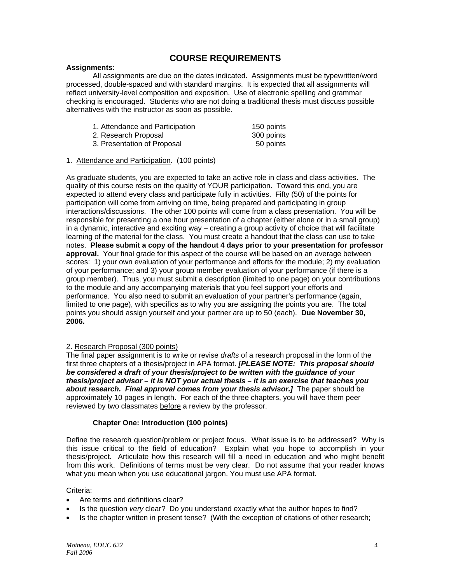# **COURSE REQUIREMENTS**

### **Assignments:**

 All assignments are due on the dates indicated. Assignments must be typewritten/word processed, double-spaced and with standard margins. It is expected that all assignments will reflect university-level composition and exposition. Use of electronic spelling and grammar checking is encouraged. Students who are not doing a traditional thesis must discuss possible alternatives with the instructor as soon as possible.

| 1. Attendance and Participation | 150 points |
|---------------------------------|------------|
| 2. Research Proposal            | 300 points |
| 3. Presentation of Proposal     | 50 points  |

### 1. Attendance and Participation. (100 points)

As graduate students, you are expected to take an active role in class and class activities. The quality of this course rests on the quality of YOUR participation. Toward this end, you are expected to attend every class and participate fully in activities. Fifty (50) of the points for participation will come from arriving on time, being prepared and participating in group interactions/discussions. The other 100 points will come from a class presentation. You will be responsible for presenting a one hour presentation of a chapter (either alone or in a small group) in a dynamic, interactive and exciting way – creating a group activity of choice that will facilitate learning of the material for the class. You must create a handout that the class can use to take notes. **Please submit a copy of the handout 4 days prior to your presentation for professor approval.** Your final grade for this aspect of the course will be based on an average between scores: 1) your own evaluation of your performance and efforts for the module; 2) my evaluation of your performance; and 3) your group member evaluation of your performance (if there is a group member). Thus, you must submit a description (limited to one page) on your contributions to the module and any accompanying materials that you feel support your efforts and performance. You also need to submit an evaluation of your partner's performance (again, limited to one page), with specifics as to why you are assigning the points you are. The total points you should assign yourself and your partner are up to 50 (each). **Due November 30, 2006.** 

### 2. Research Proposal (300 points)

The final paper assignment is to write or revise *drafts* of a research proposal in the form of the first three chapters of a thesis/project in APA format. *[PLEASE NOTE: This proposal should be considered a draft of your thesis/project to be written with the guidance of your thesis/project advisor – it is NOT your actual thesis – it is an exercise that teaches you*  about research. Final approval comes from your thesis advisor.] The paper should be approximately 10 pages in length. For each of the three chapters, you will have them peer reviewed by two classmates before a review by the professor.

## **Chapter One: Introduction (100 points)**

Define the research question/problem or project focus. What issue is to be addressed? Why is this issue critical to the field of education? Explain what you hope to accomplish in your thesis/project. Articulate how this research will fill a need in education and who might benefit from this work. Definitions of terms must be very clear. Do not assume that your reader knows what you mean when you use educational jargon. You must use APA format.

Criteria:

- Are terms and definitions clear?
- Is the question *very* clear? Do you understand exactly what the author hopes to find?
- Is the chapter written in present tense? (With the exception of citations of other research;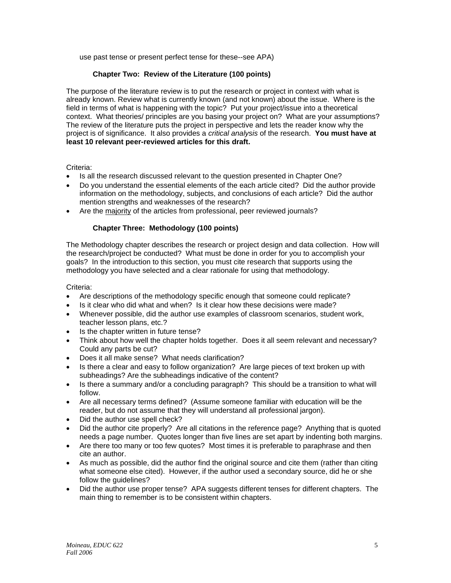use past tense or present perfect tense for these--see APA)

## **Chapter Two: Review of the Literature (100 points)**

The purpose of the literature review is to put the research or project in context with what is already known. Review what is currently known (and not known) about the issue. Where is the field in terms of what is happening with the topic? Put your project/issue into a theoretical context. What theories/ principles are you basing your project on? What are your assumptions? The review of the literature puts the project in perspective and lets the reader know why the project is of significance. It also provides a *critical analysis* of the research. **You must have at least 10 relevant peer-reviewed articles for this draft.** 

Criteria:

- Is all the research discussed relevant to the question presented in Chapter One?
- Do you understand the essential elements of the each article cited? Did the author provide information on the methodology, subjects, and conclusions of each article? Did the author mention strengths and weaknesses of the research?
- Are the majority of the articles from professional, peer reviewed journals?

## **Chapter Three: Methodology (100 points)**

The Methodology chapter describes the research or project design and data collection. How will the research/project be conducted? What must be done in order for you to accomplish your goals? In the introduction to this section, you must cite research that supports using the methodology you have selected and a clear rationale for using that methodology.

Criteria:

- Are descriptions of the methodology specific enough that someone could replicate?
- Is it clear who did what and when? Is it clear how these decisions were made?
- Whenever possible, did the author use examples of classroom scenarios, student work, teacher lesson plans, etc.?
- Is the chapter written in future tense?
- Think about how well the chapter holds together. Does it all seem relevant and necessary? Could any parts be cut?
- Does it all make sense? What needs clarification?
- Is there a clear and easy to follow organization? Are large pieces of text broken up with subheadings? Are the subheadings indicative of the content?
- Is there a summary and/or a concluding paragraph? This should be a transition to what will follow.
- Are all necessary terms defined? (Assume someone familiar with education will be the reader, but do not assume that they will understand all professional jargon).
- Did the author use spell check?
- Did the author cite properly? Are all citations in the reference page? Anything that is quoted needs a page number. Quotes longer than five lines are set apart by indenting both margins.
- Are there too many or too few quotes? Most times it is preferable to paraphrase and then cite an author.
- As much as possible, did the author find the original source and cite them (rather than citing what someone else cited). However, if the author used a secondary source, did he or she follow the guidelines?
- Did the author use proper tense? APA suggests different tenses for different chapters. The main thing to remember is to be consistent within chapters.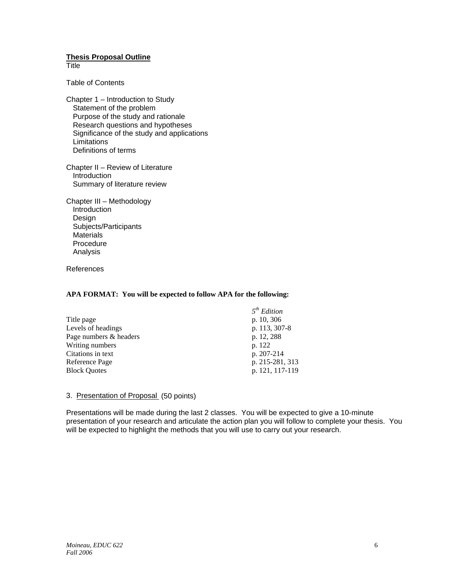## **Thesis Proposal Outline**

**Title** 

Table of Contents

Chapter 1 – Introduction to Study Statement of the problem Purpose of the study and rationale Research questions and hypotheses Significance of the study and applications **Limitations** Definitions of terms

Chapter II – Review of Literature Introduction Summary of literature review

Chapter III – Methodology **Introduction**  Design Subjects/Participants **Materials**  Procedure Analysis

References

### **APA FORMAT: You will be expected to follow APA for the following:**

|                        | 5 <sup>th</sup> Edition |
|------------------------|-------------------------|
| Title page             | p. 10, 306              |
| Levels of headings     | p. 113, 307-8           |
| Page numbers & headers | p. 12, 288              |
| Writing numbers        | p. 122                  |
| Citations in text      | p. 207-214              |
| Reference Page         | p. 215-281, 313         |
| <b>Block Quotes</b>    | p. 121, 117-119         |

### 3. Presentation of Proposal (50 points)

Presentations will be made during the last 2 classes. You will be expected to give a 10-minute presentation of your research and articulate the action plan you will follow to complete your thesis. You will be expected to highlight the methods that you will use to carry out your research.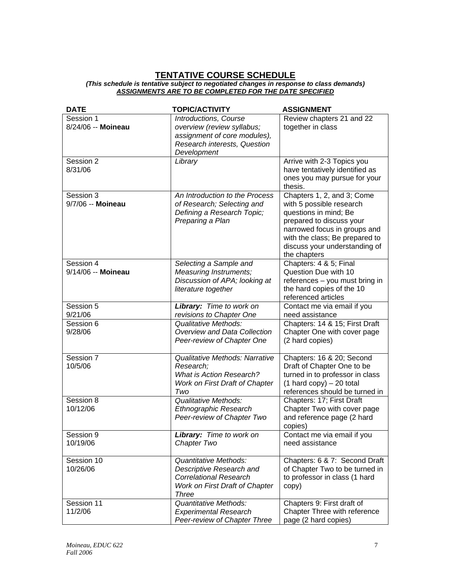#### **TENTATIVE COURSE SCHEDULE** *(This schedule is tentative subject to negotiated changes in response to class demands) ASSIGNMENTS ARE TO BE COMPLETED FOR THE DATE SPECIFIED*

| <b>DATE</b>                     | <b>TOPIC/ACTIVITY</b>                                                                                                                       | <b>ASSIGNMENT</b>                                                                                                                                                                                                              |
|---------------------------------|---------------------------------------------------------------------------------------------------------------------------------------------|--------------------------------------------------------------------------------------------------------------------------------------------------------------------------------------------------------------------------------|
| Session 1<br>8/24/06 -- Moineau | Introductions, Course<br>overview (review syllabus;<br>assignment of core modules),<br>Research interests, Question<br>Development          | Review chapters 21 and 22<br>together in class                                                                                                                                                                                 |
| Session 2<br>8/31/06            | Library                                                                                                                                     | Arrive with 2-3 Topics you<br>have tentatively identified as<br>ones you may pursue for your<br>thesis.                                                                                                                        |
| Session 3<br>9/7/06 -- Moineau  | An Introduction to the Process<br>of Research; Selecting and<br>Defining a Research Topic;<br>Preparing a Plan                              | Chapters 1, 2, and 3; Come<br>with 5 possible research<br>questions in mind; Be<br>prepared to discuss your<br>narrowed focus in groups and<br>with the class; Be prepared to<br>discuss your understanding of<br>the chapters |
| Session 4<br>9/14/06 -- Moineau | Selecting a Sample and<br>Measuring Instruments;<br>Discussion of APA; looking at<br>literature together                                    | Chapters: 4 & 5; Final<br>Question Due with 10<br>references - you must bring in<br>the hard copies of the 10<br>referenced articles                                                                                           |
| Session 5<br>9/21/06            | Library: Time to work on<br>revisions to Chapter One                                                                                        | Contact me via email if you<br>need assistance                                                                                                                                                                                 |
| Session 6<br>9/28/06            | <b>Qualitative Methods:</b><br>Overview and Data Collection<br>Peer-review of Chapter One                                                   | Chapters: 14 & 15; First Draft<br>Chapter One with cover page<br>(2 hard copies)                                                                                                                                               |
| Session 7<br>10/5/06            | Qualitative Methods: Narrative<br>Research;<br><b>What is Action Research?</b><br>Work on First Draft of Chapter<br>Two                     | Chapters: 16 & 20; Second<br>Draft of Chapter One to be<br>turned in to professor in class<br>$(1 \text{ hard copy}) - 20 \text{ total}$<br>references should be turned in                                                     |
| Session 8<br>10/12/06           | <b>Qualitative Methods:</b><br>Ethnographic Research<br>Peer-review of Chapter Two                                                          | Chapters: 17; First Draft<br>Chapter Two with cover page<br>and reference page (2 hard<br>copies)                                                                                                                              |
| Session 9<br>10/19/06           | Library: Time to work on<br>Chapter Two                                                                                                     | Contact me via email if you<br>need assistance                                                                                                                                                                                 |
| Session 10<br>10/26/06          | <b>Quantitative Methods:</b><br>Descriptive Research and<br><b>Correlational Research</b><br>Work on First Draft of Chapter<br><b>Three</b> | Chapters: 6 & 7: Second Draft<br>of Chapter Two to be turned in<br>to professor in class (1 hard<br>copy)                                                                                                                      |
| Session 11<br>11/2/06           | <b>Quantitative Methods:</b><br><b>Experimental Research</b><br>Peer-review of Chapter Three                                                | Chapters 9: First draft of<br>Chapter Three with reference<br>page (2 hard copies)                                                                                                                                             |